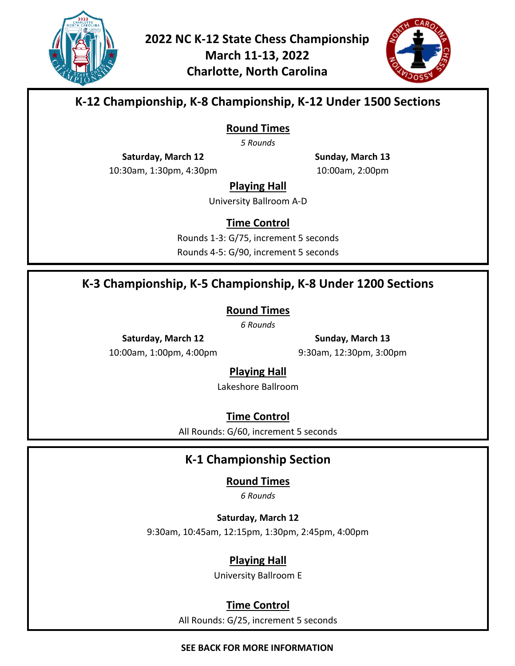

**2022 NC K-12 State Chess Championship March 11-13, 2022 Charlotte, North Carolina**



## **K-12 Championship, K-8 Championship, K-12 Under 1500 Sections**

**Round Times**

*5 Rounds*

**Saturday, March 12**

**Sunday, March 13** 10:00am, 2:00pm

10:30am, 1:30pm, 4:30pm

**Playing Hall**

University Ballroom A-D

**Time Control**

Rounds 1-3: G/75, increment 5 seconds Rounds 4-5: G/90, increment 5 seconds

## **K-3 Championship, K-5 Championship, K-8 Under 1200 Sections**

**Round Times**

*6 Rounds*

**Saturday, March 12** 10:00am, 1:00pm, 4:00pm

**Sunday, March 13** 9:30am, 12:30pm, 3:00pm

#### **Playing Hall**

Lakeshore Ballroom

**Time Control**

All Rounds: G/60, increment 5 seconds

# **K-1 Championship Section**

#### **Round Times**

*6 Rounds*

**Saturday, March 12**

9:30am, 10:45am, 12:15pm, 1:30pm, 2:45pm, 4:00pm

#### **Playing Hall**

University Ballroom E

#### **Time Control**

All Rounds: G/25, increment 5 seconds

#### **SEE BACK FOR MORE INFORMATION**